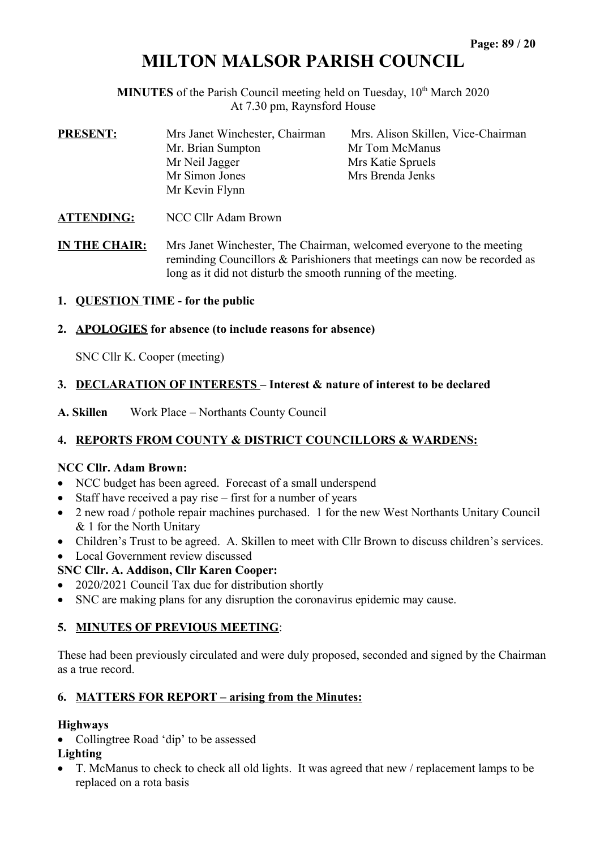# **MILTON MALSOR PARISH COUNCIL**

**MINUTES** of the Parish Council meeting held on Tuesday, 10<sup>th</sup> March 2020 At 7.30 pm, Raynsford House

| <b>PRESENT:</b>      | Mrs Janet Winchester, Chairman<br>Mr. Brian Sumpton<br>Mr Neil Jagger<br>Mr Simon Jones<br>Mr Kevin Flynn | Mrs. Alison Skillen, Vice-Chairman<br>Mr Tom McManus<br>Mrs Katie Spruels<br>Mrs Brenda Jenks |  |  |  |
|----------------------|-----------------------------------------------------------------------------------------------------------|-----------------------------------------------------------------------------------------------|--|--|--|
| <b>ATTENDING:</b>    | NCC Cllr Adam Brown                                                                                       |                                                                                               |  |  |  |
| <b>IN THE CHAIR:</b> | Mrs Janet Winchester, The Chairman, welcomed everyone to the meeting                                      |                                                                                               |  |  |  |

long as it did not disturb the smooth running of the meeting.

reminding Councillors & Parishioners that meetings can now be recorded as

**1. QUESTION TIME - for the public** 

#### **2. APOLOGIES for absence (to include reasons for absence)**

SNC Cllr K. Cooper (meeting)

## **3. DECLARATION OF INTERESTS – Interest & nature of interest to be declared**

**A. Skillen** Work Place – Northants County Council

# **4. REPORTS FROM COUNTY & DISTRICT COUNCILLORS & WARDENS:**

#### **NCC Cllr. Adam Brown:**

- NCC budget has been agreed. Forecast of a small underspend
- $\bullet$  Staff have received a pay rise first for a number of years
- 2 new road / pothole repair machines purchased. 1 for the new West Northants Unitary Council & 1 for the North Unitary
- Children's Trust to be agreed. A. Skillen to meet with Cllr Brown to discuss children's services.
- Local Government review discussed

## **SNC Cllr. A. Addison, Cllr Karen Cooper:**

- 2020/2021 Council Tax due for distribution shortly
- SNC are making plans for any disruption the coronavirus epidemic may cause.

#### **5. MINUTES OF PREVIOUS MEETING**:

These had been previously circulated and were duly proposed, seconded and signed by the Chairman as a true record.

#### **6. MATTERS FOR REPORT – arising from the Minutes:**

#### **Highways**

• Collingtree Road 'dip' to be assessed

#### **Lighting**

 T. McManus to check to check all old lights. It was agreed that new / replacement lamps to be replaced on a rota basis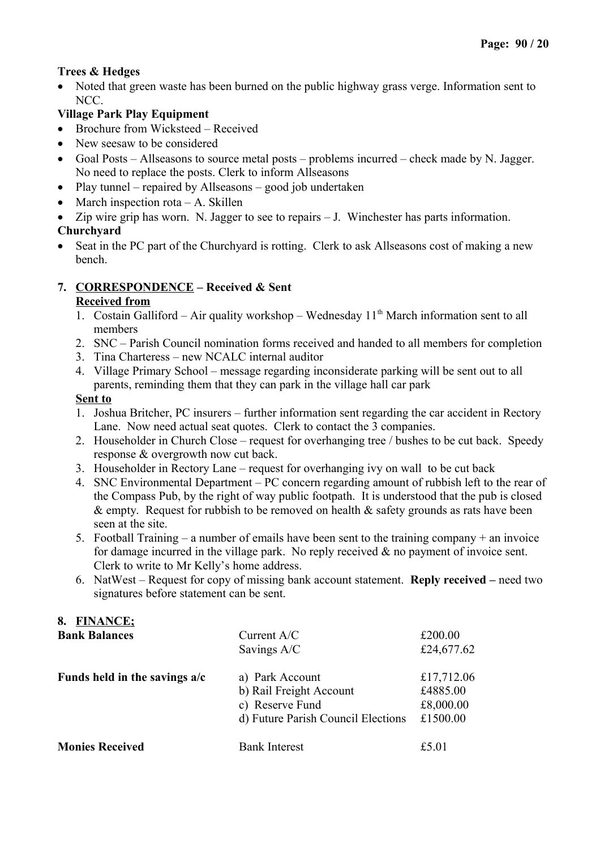## **Trees & Hedges**

• Noted that green waste has been burned on the public highway grass verge. Information sent to NCC.

# **Village Park Play Equipment**

- Brochure from Wicksteed Received
- New seesaw to be considered
- Goal Posts Allseasons to source metal posts problems incurred check made by N. Jagger. No need to replace the posts. Clerk to inform Allseasons
- Play tunnel repaired by Allseasons good job undertaken
- March inspection rota  $A$ . Skillen
- Zip wire grip has worn. N. Jagger to see to repairs J. Winchester has parts information.

## **Churchyard**

• Seat in the PC part of the Churchyard is rotting. Clerk to ask Allseasons cost of making a new bench.

## **7. CORRESPONDENCE – Received & Sent**

#### **Received from**

- 1. Costain Galliford Air quality workshop Wednesday  $11<sup>th</sup>$  March information sent to all members
- 2. SNC Parish Council nomination forms received and handed to all members for completion
- 3. Tina Charteress new NCALC internal auditor
- 4. Village Primary School message regarding inconsiderate parking will be sent out to all parents, reminding them that they can park in the village hall car park

#### **Sent to**

- 1. Joshua Britcher, PC insurers further information sent regarding the car accident in Rectory Lane. Now need actual seat quotes. Clerk to contact the 3 companies.
- 2. Householder in Church Close request for overhanging tree / bushes to be cut back. Speedy response & overgrowth now cut back.
- 3. Householder in Rectory Lane request for overhanging ivy on wall to be cut back
- 4. SNC Environmental Department PC concern regarding amount of rubbish left to the rear of the Compass Pub, by the right of way public footpath. It is understood that the pub is closed  $\&$  empty. Request for rubbish to be removed on health  $\&$  safety grounds as rats have been seen at the site.
- 5. Football Training a number of emails have been sent to the training company + an invoice for damage incurred in the village park. No reply received & no payment of invoice sent. Clerk to write to Mr Kelly's home address.
- 6. NatWest Request for copy of missing bank account statement. **Reply received** need two signatures before statement can be sent.

# **8. FINANCE;**

| <b>Bank Balances</b>          | Current A/C                        | £200.00    |  |
|-------------------------------|------------------------------------|------------|--|
|                               | Savings A/C                        | £24,677.62 |  |
| Funds held in the savings a/c | a) Park Account                    | £17,712.06 |  |
|                               | b) Rail Freight Account            | £4885.00   |  |
|                               | c) Reserve Fund                    | £8,000.00  |  |
|                               | d) Future Parish Council Elections | £1500.00   |  |
| <b>Monies Received</b>        | <b>Bank Interest</b>               | £5.01      |  |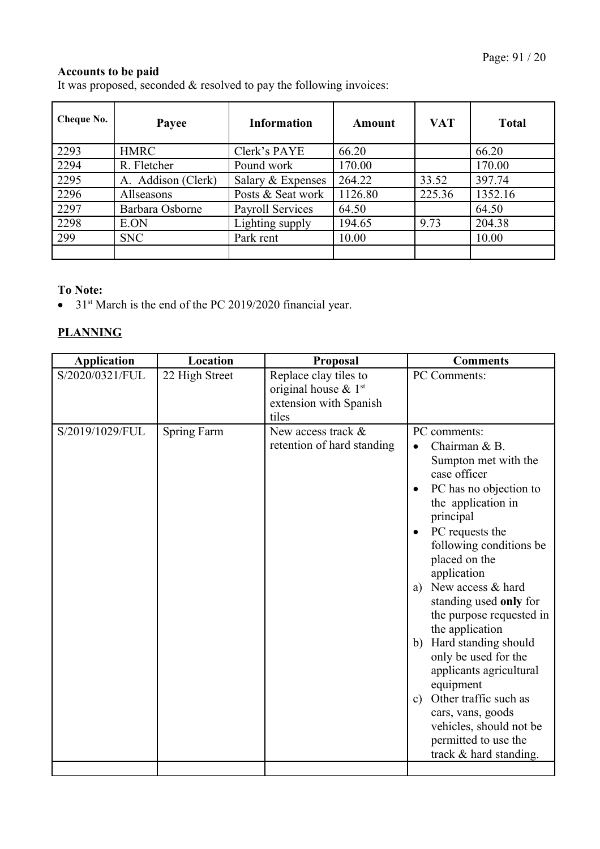## **Accounts to be paid**

It was proposed, seconded & resolved to pay the following invoices:

| <b>Cheque No.</b> | Payee              | <b>Information</b>      | Amount  | <b>VAT</b> | <b>Total</b> |
|-------------------|--------------------|-------------------------|---------|------------|--------------|
| 2293              | <b>HMRC</b>        | Clerk's PAYE            | 66.20   |            | 66.20        |
| 2294              | R. Fletcher        | Pound work              | 170.00  |            | 170.00       |
| 2295              | A. Addison (Clerk) | Salary & Expenses       | 264.22  | 33.52      | 397.74       |
| 2296              | Allseasons         | Posts & Seat work       | 1126.80 | 225.36     | 1352.16      |
| 2297              | Barbara Osborne    | <b>Payroll Services</b> | 64.50   |            | 64.50        |
| 2298              | E.ON               | Lighting supply         | 194.65  | 9.73       | 204.38       |
| 299               | <b>SNC</b>         | Park rent               | 10.00   |            | 10.00        |
|                   |                    |                         |         |            |              |

## **To Note:**

 $\bullet$  31<sup>st</sup> March is the end of the PC 2019/2020 financial year.

# **PLANNING**

| <b>Application</b> | Location           | Proposal                    | <b>Comments</b>                        |
|--------------------|--------------------|-----------------------------|----------------------------------------|
| S/2020/0321/FUL    | 22 High Street     | Replace clay tiles to       | PC Comments:                           |
|                    |                    | original house & 1st        |                                        |
|                    |                    | extension with Spanish      |                                        |
| S/2019/1029/FUL    |                    | tiles<br>New access track & | PC comments:                           |
|                    | <b>Spring Farm</b> | retention of hard standing  | Chairman & B.<br>$\bullet$             |
|                    |                    |                             | Sumpton met with the                   |
|                    |                    |                             | case officer                           |
|                    |                    |                             | PC has no objection to                 |
|                    |                    |                             | the application in                     |
|                    |                    |                             | principal                              |
|                    |                    |                             | PC requests the                        |
|                    |                    |                             | following conditions be                |
|                    |                    |                             | placed on the                          |
|                    |                    |                             | application                            |
|                    |                    |                             | New access & hard<br>a)                |
|                    |                    |                             | standing used only for                 |
|                    |                    |                             | the purpose requested in               |
|                    |                    |                             | the application                        |
|                    |                    |                             | Hard standing should<br>b)             |
|                    |                    |                             | only be used for the                   |
|                    |                    |                             | applicants agricultural                |
|                    |                    |                             | equipment                              |
|                    |                    |                             | Other traffic such as<br>$\mathbf{c})$ |
|                    |                    |                             | cars, vans, goods                      |
|                    |                    |                             | vehicles, should not be                |
|                    |                    |                             | permitted to use the                   |
|                    |                    |                             | track & hard standing.                 |